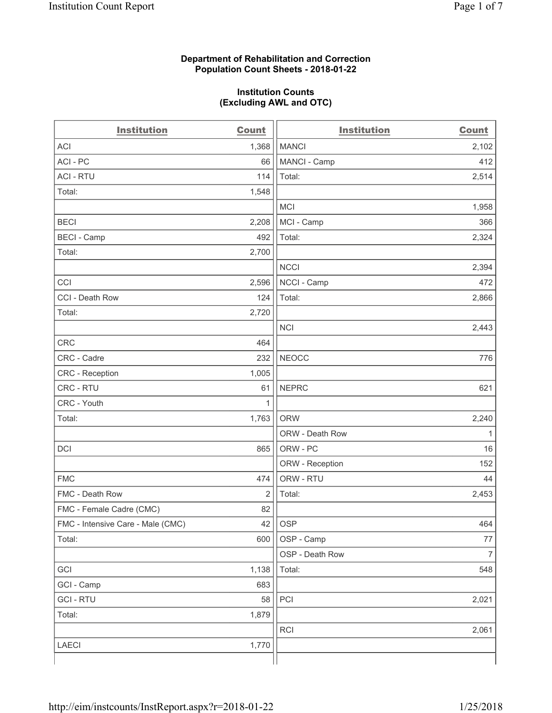### **Department of Rehabilitation and Correction Population Count Sheets - 2018-01-22**

#### **Institution Counts (Excluding AWL and OTC)**

| <b>Institution</b>                | <b>Count</b> | <b>Institution</b> | <b>Count</b>   |
|-----------------------------------|--------------|--------------------|----------------|
| <b>ACI</b>                        | 1,368        | <b>MANCI</b>       | 2,102          |
| ACI - PC                          | 66           | MANCI - Camp       | 412            |
| <b>ACI - RTU</b>                  | 114          | Total:             | 2,514          |
| Total:                            | 1,548        |                    |                |
|                                   |              | <b>MCI</b>         | 1,958          |
| <b>BECI</b>                       | 2,208        | MCI - Camp         | 366            |
| <b>BECI - Camp</b>                | 492          | Total:             | 2,324          |
| Total:                            | 2,700        |                    |                |
|                                   |              | <b>NCCI</b>        | 2,394          |
| CCI                               | 2,596        | NCCI - Camp        | 472            |
| CCI - Death Row                   | 124          | Total:             | 2,866          |
| Total:                            | 2,720        |                    |                |
|                                   |              | <b>NCI</b>         | 2,443          |
| <b>CRC</b>                        | 464          |                    |                |
| CRC - Cadre                       | 232          | <b>NEOCC</b>       | 776            |
| <b>CRC</b> - Reception            | 1,005        |                    |                |
| CRC - RTU                         | 61           | <b>NEPRC</b>       | 621            |
| CRC - Youth                       | 1            |                    |                |
| Total:                            | 1,763        | <b>ORW</b>         | 2,240          |
|                                   |              | ORW - Death Row    | 1              |
| DCI                               | 865          | ORW - PC           | 16             |
|                                   |              | ORW - Reception    | 152            |
| <b>FMC</b>                        | 474          | ORW - RTU          | 44             |
| FMC - Death Row                   | 2            | Total:             | 2,453          |
| FMC - Female Cadre (CMC)          | 82           |                    |                |
| FMC - Intensive Care - Male (CMC) | 42           | <b>OSP</b>         | 464            |
| Total:                            | 600          | OSP - Camp         | $77 \,$        |
|                                   |              | OSP - Death Row    | $\overline{7}$ |
| GCI                               | 1,138        | Total:             | 548            |
| GCI - Camp                        | 683          |                    |                |
| <b>GCI-RTU</b>                    | 58           | PCI                | 2,021          |
| Total:                            | 1,879        |                    |                |
|                                   |              | RCI                | 2,061          |
| LAECI                             | 1,770        |                    |                |
|                                   |              |                    |                |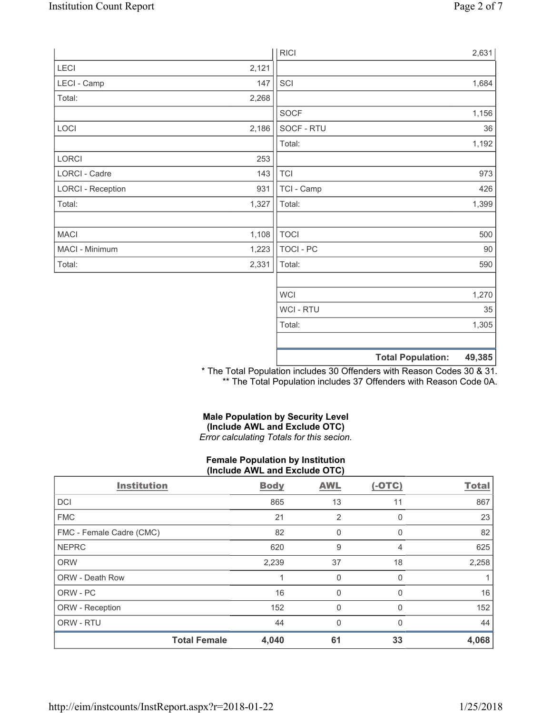|                          |       | <b>RICI</b> | 2,631                              |
|--------------------------|-------|-------------|------------------------------------|
| <b>LECI</b>              | 2,121 |             |                                    |
| LECI - Camp              | 147   | SCI         | 1,684                              |
| Total:                   | 2,268 |             |                                    |
|                          |       | SOCF        | 1,156                              |
| LOCI                     | 2,186 | SOCF - RTU  | 36                                 |
|                          |       | Total:      | 1,192                              |
| LORCI                    | 253   |             |                                    |
| LORCI - Cadre            | 143   | <b>TCI</b>  | 973                                |
| <b>LORCI - Reception</b> | 931   | TCI - Camp  | 426                                |
| Total:                   | 1,327 | Total:      | 1,399                              |
|                          |       |             |                                    |
| <b>MACI</b>              | 1,108 | <b>TOCI</b> | 500                                |
| MACI - Minimum           | 1,223 | TOCI - PC   | 90                                 |
| Total:                   | 2,331 | Total:      | 590                                |
|                          |       |             |                                    |
|                          |       | <b>WCI</b>  | 1,270                              |
|                          |       | WCI - RTU   | 35                                 |
|                          |       | Total:      | 1,305                              |
|                          |       |             |                                    |
|                          |       |             | <b>Total Population:</b><br>49,385 |

\* The Total Population includes 30 Offenders with Reason Codes 30 & 31. \*\* The Total Population includes 37 Offenders with Reason Code 0A.

## **Male Population by Security Level (Include AWL and Exclude OTC)**  *Error calculating Totals for this secion.*

#### **Female Population by Institution (Include AWL and Exclude OTC)**

| <b>Institution</b>       | <b>Body</b> | <b>AWL</b>   | $(-OTC)$ | <b>Total</b> |
|--------------------------|-------------|--------------|----------|--------------|
| <b>DCI</b>               | 865         | 13           | 11       | 867          |
| <b>FMC</b>               | 21          | 2            | O        | 23           |
| FMC - Female Cadre (CMC) | 82          | 0            | 0        | 82           |
| <b>NEPRC</b>             | 620         | 9            | 4        | 625          |
| <b>ORW</b>               | 2,239       | 37           | 18       | 2,258        |
| ORW - Death Row          |             | 0            | O        |              |
| ORW - PC                 | 16          | 0            | 0        | 16           |
| ORW - Reception          | 152         | 0            |          | 152          |
| ORW - RTU                | 44          | $\mathbf{0}$ | 0        | 44           |
| <b>Total Female</b>      | 4,040       | 61           | 33       | 4,068        |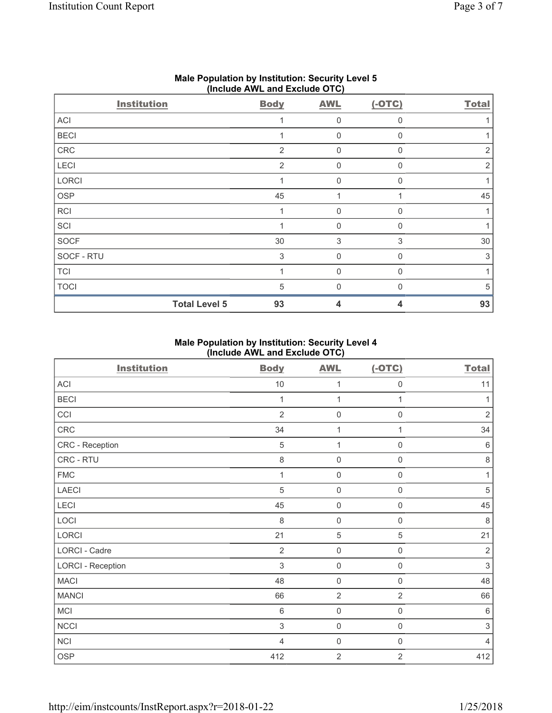| <b>Institution</b>   | <b>Body</b>    | <b>AWL</b>  | $(-OTC)$ | <b>Total</b>   |
|----------------------|----------------|-------------|----------|----------------|
| ACI                  | 1              | $\mathbf 0$ | $\Omega$ |                |
| <b>BECI</b>          |                | $\mathbf 0$ | $\Omega$ |                |
| ${\sf CRC}$          | $\overline{2}$ | $\mathbf 0$ | $\Omega$ | 2              |
| LECI                 | $\overline{2}$ | $\mathbf 0$ | $\Omega$ | $\overline{2}$ |
| LORCI                |                | $\mathbf 0$ | $\Omega$ |                |
| OSP                  | 45             |             |          | 45             |
| <b>RCI</b>           | 1              | $\mathbf 0$ | $\Omega$ |                |
| SCI                  |                | 0           | $\Omega$ |                |
| SOCF                 | $30\,$         | 3           | 3        | $30\,$         |
| SOCF - RTU           | 3              | 0           | $\Omega$ | 3              |
| <b>TCI</b>           | 1              | $\mathbf 0$ | $\Omega$ |                |
| <b>TOCI</b>          | 5              | 0           | $\Omega$ | 5              |
| <b>Total Level 5</b> | 93             | 4           | 4        | 93             |

## **Male Population by Institution: Security Level 5 (Include AWL and Exclude OTC)**

# **Male Population by Institution: Security Level 4 (Include AWL and Exclude OTC)**

| <b>Institution</b>       | <b>Body</b>    | <b>AWL</b>          | $(-OTC)$            | <b>Total</b>              |
|--------------------------|----------------|---------------------|---------------------|---------------------------|
| ACI                      | $10$           | 1                   | $\mathbf 0$         | 11                        |
| <b>BECI</b>              | $\mathbf 1$    | $\mathbf{1}$        | 1                   | 1                         |
| CCI                      | $\overline{2}$ | $\mathsf{O}\xspace$ | $\mathsf{O}\xspace$ | $\sqrt{2}$                |
| CRC                      | 34             | 1                   |                     | 34                        |
| CRC - Reception          | 5              | 1                   | $\mathbf 0$         | $6\phantom{1}$            |
| CRC - RTU                | 8              | $\mathsf{O}\xspace$ | $\mathbf 0$         | $\,8\,$                   |
| ${\sf FMC}$              | 1              | 0                   | $\mathbf 0$         | 1                         |
| <b>LAECI</b>             | $\sqrt{5}$     | $\mathsf{O}\xspace$ | $\mathsf{O}\xspace$ | $\sqrt{5}$                |
| LECI                     | 45             | $\mathsf{O}\xspace$ | $\mathsf{O}\xspace$ | 45                        |
| LOCI                     | $\,8\,$        | 0                   | $\mathsf{O}\xspace$ | 8                         |
| LORCI                    | 21             | 5                   | 5                   | 21                        |
| LORCI - Cadre            | $\overline{2}$ | $\mathsf{O}\xspace$ | $\mathsf{O}\xspace$ | $\overline{2}$            |
| <b>LORCI - Reception</b> | $\mathfrak{S}$ | 0                   | $\mathsf{O}\xspace$ | $\sqrt{3}$                |
| <b>MACI</b>              | 48             | 0                   | $\mathbf 0$         | 48                        |
| <b>MANCI</b>             | 66             | $\overline{2}$      | $\overline{2}$      | 66                        |
| MCI                      | $\,6\,$        | $\mathsf{O}\xspace$ | $\mathbf 0$         | $6\phantom{1}6$           |
| <b>NCCI</b>              | $\sqrt{3}$     | $\mathsf 0$         | $\mathsf{O}\xspace$ | $\ensuremath{\mathsf{3}}$ |
| <b>NCI</b>               | $\overline{4}$ | 0                   | $\mathbf 0$         | 4                         |
| <b>OSP</b>               | 412            | $\overline{2}$      | $\overline{2}$      | 412                       |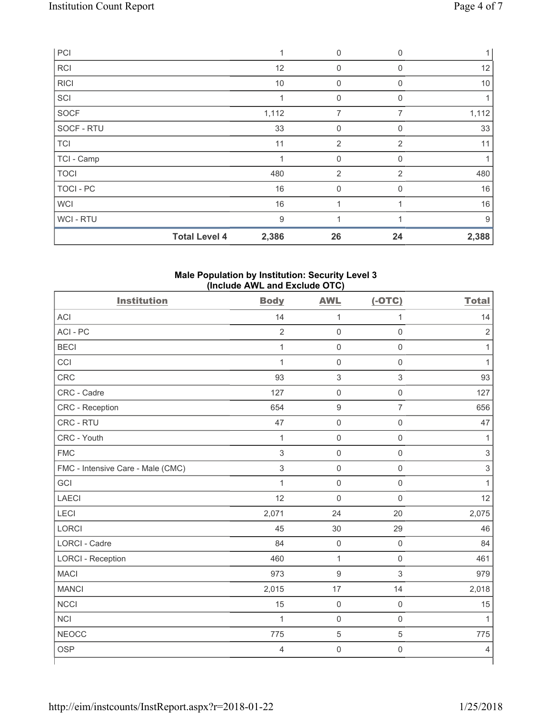| PCI         |                      | 1     | $\mathbf 0$    | $\Omega$       |       |
|-------------|----------------------|-------|----------------|----------------|-------|
| <b>RCI</b>  |                      | 12    | 0              | 0              | 12    |
| <b>RICI</b> |                      | 10    | 0              | 0              | $10$  |
| SCI         |                      | 1     | 0              | <sup>0</sup>   |       |
| SOCF        |                      | 1,112 | 7              | 7              | 1,112 |
| SOCF - RTU  |                      | 33    | 0              | $\Omega$       | 33    |
| <b>TCI</b>  |                      | 11    | $\overline{2}$ | 2              | 11    |
| TCI - Camp  |                      |       | 0              | $\mathbf 0$    |       |
| <b>TOCI</b> |                      | 480   | $\overline{2}$ | $\overline{2}$ | 480   |
| TOCI - PC   |                      | 16    | 0              | O              | 16    |
| <b>WCI</b>  |                      | 16    |                |                | 16    |
| WCI - RTU   |                      | 9     | и              |                | 9     |
|             | <b>Total Level 4</b> | 2,386 | 26             | 24             | 2,388 |

### **Male Population by Institution: Security Level 3 (Include AWL and Exclude OTC)**

| <b>Institution</b>                | <b>Body</b>    | <b>AWL</b>          | $(-OTC)$            | <b>Total</b>              |
|-----------------------------------|----------------|---------------------|---------------------|---------------------------|
| <b>ACI</b>                        | 14             | 1                   | $\mathbf{1}$        | 14                        |
| ACI - PC                          | $\overline{2}$ | $\mathbf 0$         | $\mathsf 0$         | $\overline{2}$            |
| <b>BECI</b>                       | $\mathbf{1}$   | $\mathbf 0$         | $\mathsf 0$         | 1                         |
| CCI                               | $\mathbf{1}$   | $\mathbf 0$         | $\mathbf 0$         | 1                         |
| <b>CRC</b>                        | 93             | $\mathbf{3}$        | $\mathsf 3$         | 93                        |
| CRC - Cadre                       | 127            | $\mathbf 0$         | $\mathsf 0$         | 127                       |
| CRC - Reception                   | 654            | $\hbox{9}$          | $\overline{7}$      | 656                       |
| CRC - RTU                         | 47             | $\mathsf{O}\xspace$ | $\mathsf 0$         | 47                        |
| CRC - Youth                       | $\mathbf{1}$   | $\mathsf{O}\xspace$ | $\mathsf 0$         | 1                         |
| <b>FMC</b>                        | $\mathfrak{S}$ | $\mathbf 0$         | $\mathsf 0$         | $\mathfrak{S}$            |
| FMC - Intensive Care - Male (CMC) | $\sqrt{3}$     | $\mathsf{O}\xspace$ | $\mathsf 0$         | $\ensuremath{\mathsf{3}}$ |
| GCI                               | $\mathbf{1}$   | $\mathbf 0$         | $\mathsf 0$         | 1                         |
| <b>LAECI</b>                      | 12             | $\mathbf 0$         | $\mathbf 0$         | 12                        |
| LECI                              | 2,071          | 24                  | 20                  | 2,075                     |
| <b>LORCI</b>                      | 45             | 30                  | 29                  | 46                        |
| <b>LORCI - Cadre</b>              | 84             | $\mathbf 0$         | $\mathsf 0$         | 84                        |
| <b>LORCI - Reception</b>          | 460            | $\mathbf{1}$        | $\mathsf 0$         | 461                       |
| <b>MACI</b>                       | 973            | $\boldsymbol{9}$    | $\mathsf 3$         | 979                       |
| <b>MANCI</b>                      | 2,015          | 17                  | 14                  | 2,018                     |
| <b>NCCI</b>                       | 15             | $\mathsf{O}\xspace$ | $\mathsf 0$         | 15                        |
| <b>NCI</b>                        | $\mathbf 1$    | $\mathbf 0$         | $\mathsf 0$         | 1                         |
| <b>NEOCC</b>                      | 775            | $\overline{5}$      | 5                   | 775                       |
| <b>OSP</b>                        | 4              | $\mathsf{O}\xspace$ | $\mathsf{O}\xspace$ | $\overline{4}$            |
|                                   |                |                     |                     |                           |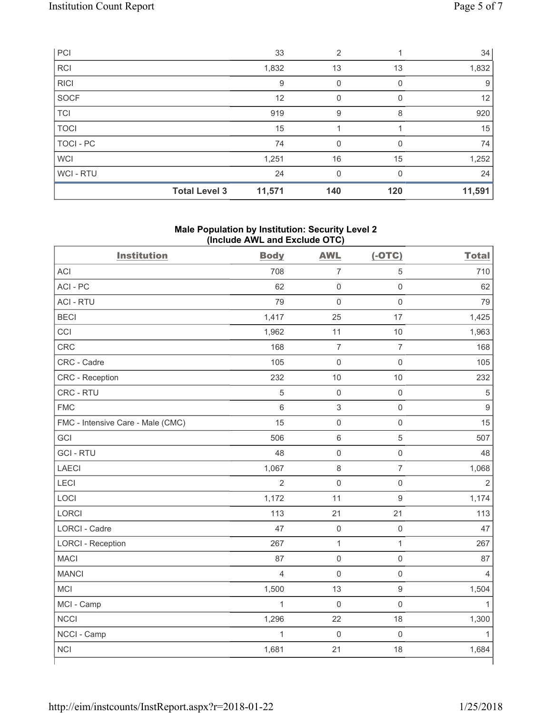| PCI            |                      | 33     | $\overline{2}$ |     | 34     |
|----------------|----------------------|--------|----------------|-----|--------|
| <b>RCI</b>     |                      | 1,832  | 13             | 13  | 1,832  |
| <b>RICI</b>    |                      | 9      | 0              |     | 9      |
| SOCF           |                      | 12     | 0              |     | 12     |
| <b>TCI</b>     |                      | 919    | 9              | 8   | 920    |
| <b>TOCI</b>    |                      | 15     |                |     | 15     |
| TOCI - PC      |                      | 74     | 0              |     | 74     |
| <b>WCI</b>     |                      | 1,251  | 16             | 15  | 1,252  |
| <b>WCI-RTU</b> |                      | 24     | 0              | 0   | 24     |
|                | <b>Total Level 3</b> | 11,571 | 140            | 120 | 11,591 |

## **Male Population by Institution: Security Level 2 (Include AWL and Exclude OTC)**

| <b>Institution</b>                | <b>Body</b>    | <b>AWL</b>          | $(-OTC)$            | <b>Total</b>   |
|-----------------------------------|----------------|---------------------|---------------------|----------------|
| <b>ACI</b>                        | 708            | $\overline{7}$      | $\overline{5}$      | 710            |
| ACI-PC                            | 62             | $\mathsf{O}\xspace$ | $\mathsf{O}\xspace$ | 62             |
| <b>ACI - RTU</b>                  | 79             | $\mathbf 0$         | $\mathsf 0$         | 79             |
| <b>BECI</b>                       | 1,417          | 25                  | 17                  | 1,425          |
| CCI                               | 1,962          | 11                  | $10$                | 1,963          |
| <b>CRC</b>                        | 168            | $\overline{7}$      | $\overline{7}$      | 168            |
| CRC - Cadre                       | 105            | $\mathsf{O}\xspace$ | $\mathsf 0$         | 105            |
| CRC - Reception                   | 232            | 10                  | 10                  | 232            |
| CRC - RTU                         | 5              | $\mathsf{O}\xspace$ | $\mathsf{O}\xspace$ | $\sqrt{5}$     |
| <b>FMC</b>                        | 6              | $\sqrt{3}$          | $\mathbf 0$         | 9              |
| FMC - Intensive Care - Male (CMC) | 15             | $\mathsf{O}\xspace$ | $\mathsf 0$         | 15             |
| GCI                               | 506            | $\,6\,$             | $\sqrt{5}$          | 507            |
| <b>GCI-RTU</b>                    | 48             | $\mathbf 0$         | $\mathbf 0$         | 48             |
| <b>LAECI</b>                      | 1,067          | 8                   | $\overline{7}$      | 1,068          |
| <b>LECI</b>                       | $\overline{2}$ | $\mathsf{O}\xspace$ | $\mathbf 0$         | $\overline{2}$ |
| LOCI                              | 1,172          | 11                  | $\mathsf g$         | 1,174          |
| LORCI                             | 113            | 21                  | 21                  | 113            |
| <b>LORCI - Cadre</b>              | 47             | $\mathsf{O}\xspace$ | $\mathsf{O}\xspace$ | 47             |
| <b>LORCI - Reception</b>          | 267            | $\mathbf{1}$        | $\mathbf{1}$        | 267            |
| <b>MACI</b>                       | 87             | $\mathsf 0$         | $\mathsf 0$         | 87             |
| <b>MANCI</b>                      | $\overline{4}$ | $\mathsf{O}\xspace$ | $\mathbf 0$         | 4              |
| <b>MCI</b>                        | 1,500          | 13                  | $\mathsf g$         | 1,504          |
| MCI - Camp                        | $\mathbf{1}$   | $\mathsf 0$         | $\mathsf 0$         | $\mathbf{1}$   |
| <b>NCCI</b>                       | 1,296          | 22                  | 18                  | 1,300          |
| NCCI - Camp                       | $\mathbf{1}$   | $\mathbf 0$         | $\mathbf 0$         | 1              |
| <b>NCI</b>                        | 1,681          | 21                  | 18                  | 1,684          |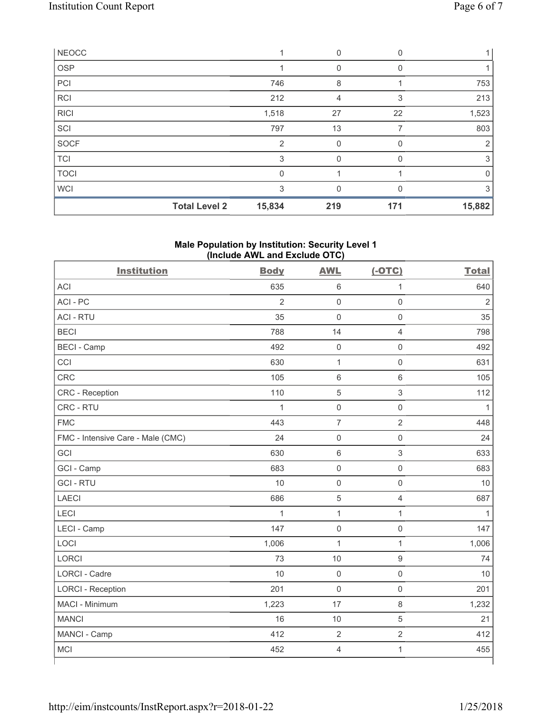| <b>NEOCC</b> |                      |                | 0   | $\Omega$ |             |
|--------------|----------------------|----------------|-----|----------|-------------|
| <b>OSP</b>   |                      |                | 0   |          |             |
| PCI          |                      | 746            | 8   |          | 753         |
| <b>RCI</b>   |                      | 212            | 4   | 3        | 213         |
| <b>RICI</b>  |                      | 1,518          | 27  | 22       | 1,523       |
| SCI          |                      | 797            | 13  |          | 803         |
| SOCF         |                      | $\overline{2}$ | 0   |          | 2           |
| <b>TCI</b>   |                      | 3              | 0   | 0        | 3           |
| <b>TOCI</b>  |                      | $\mathbf{0}$   |     |          | $\mathbf 0$ |
| <b>WCI</b>   |                      | 3              | 0   |          | 3           |
|              | <b>Total Level 2</b> | 15,834         | 219 | 171      | 15,882      |

# **Male Population by Institution: Security Level 1 (Include AWL and Exclude OTC)**

| <b>Institution</b>                | <b>Body</b>    | <b>AWL</b>          | $(-OTC)$                  | <b>Total</b>   |
|-----------------------------------|----------------|---------------------|---------------------------|----------------|
| <b>ACI</b>                        | 635            | $\,6\,$             | $\mathbf{1}$              | 640            |
| ACI-PC                            | $\overline{2}$ | $\mathsf 0$         | $\mathsf 0$               | $\overline{2}$ |
| <b>ACI - RTU</b>                  | 35             | $\mathbf 0$         | $\mathsf 0$               | 35             |
| <b>BECI</b>                       | 788            | 14                  | $\overline{4}$            | 798            |
| <b>BECI - Camp</b>                | 492            | $\mathbf 0$         | $\mathbf 0$               | 492            |
| CCI                               | 630            | $\mathbf{1}$        | $\mathsf 0$               | 631            |
| <b>CRC</b>                        | 105            | $\,$ 6 $\,$         | $\,6\,$                   | 105            |
| CRC - Reception                   | 110            | $\,$ 5 $\,$         | $\ensuremath{\mathsf{3}}$ | 112            |
| CRC - RTU                         | $\mathbf{1}$   | $\mathbf 0$         | $\mathsf 0$               | $\mathbf{1}$   |
| <b>FMC</b>                        | 443            | $\overline{7}$      | $\overline{2}$            | 448            |
| FMC - Intensive Care - Male (CMC) | 24             | $\mathsf{O}\xspace$ | $\mathsf 0$               | 24             |
| GCI                               | 630            | $\,$ 6 $\,$         | $\mathsf 3$               | 633            |
| GCI - Camp                        | 683            | $\mathsf{O}\xspace$ | $\mathbf 0$               | 683            |
| <b>GCI-RTU</b>                    | 10             | $\mathbf 0$         | $\mathsf 0$               | 10             |
| <b>LAECI</b>                      | 686            | $\,$ 5 $\,$         | $\overline{4}$            | 687            |
| <b>LECI</b>                       | $\mathbf{1}$   | $\mathbf{1}$        | $\mathbf{1}$              | $\mathbf{1}$   |
| LECI - Camp                       | 147            | $\mathsf{O}\xspace$ | $\mathsf{O}\xspace$       | 147            |
| LOCI                              | 1,006          | $\mathbf{1}$        | $\mathbf{1}$              | 1,006          |
| <b>LORCI</b>                      | 73             | 10                  | $\boldsymbol{9}$          | 74             |
| <b>LORCI - Cadre</b>              | 10             | $\mathbf 0$         | $\mathsf 0$               | 10             |
| <b>LORCI - Reception</b>          | 201            | $\mathsf{O}\xspace$ | $\mathbf 0$               | 201            |
| MACI - Minimum                    | 1,223          | 17                  | $\,8\,$                   | 1,232          |
| <b>MANCI</b>                      | 16             | 10                  | 5                         | 21             |
| MANCI - Camp                      | 412            | $\overline{2}$      | $\overline{2}$            | 412            |
| <b>MCI</b>                        | 452            | $\overline{4}$      | $\mathbf{1}$              | 455            |